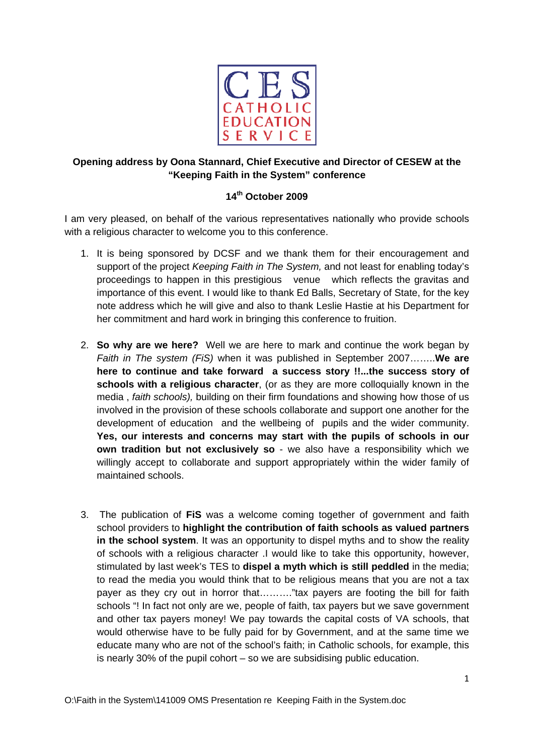

## **Opening address by Oona Stannard, Chief Executive and Director of CESEW at the "Keeping Faith in the System" conference**

## **14th October 2009**

I am very pleased, on behalf of the various representatives nationally who provide schools with a religious character to welcome you to this conference.

- 1. It is being sponsored by DCSF and we thank them for their encouragement and support of the project *Keeping Faith in The System,* and not least for enabling today's proceedings to happen in this prestigious venue which reflects the gravitas and importance of this event. I would like to thank Ed Balls, Secretary of State, for the key note address which he will give and also to thank Leslie Hastie at his Department for her commitment and hard work in bringing this conference to fruition.
- 2. **So why are we here?** Well we are here to mark and continue the work began by *Faith in The system (FiS)* when it was published in September 2007……..**We are here to continue and take forward a success story !!...the success story of schools with a religious character**, (or as they are more colloquially known in the media , *faith schools),* building on their firm foundations and showing how those of us involved in the provision of these schools collaborate and support one another for the development of education and the wellbeing of pupils and the wider community. **Yes, our interests and concerns may start with the pupils of schools in our own tradition but not exclusively so** - we also have a responsibility which we willingly accept to collaborate and support appropriately within the wider family of maintained schools.
- 3. The publication of **FiS** was a welcome coming together of government and faith school providers to **highlight the contribution of faith schools as valued partners in the school system**. It was an opportunity to dispel myths and to show the reality of schools with a religious character .I would like to take this opportunity, however, stimulated by last week's TES to **dispel a myth which is still peddled** in the media; to read the media you would think that to be religious means that you are not a tax payer as they cry out in horror that………."tax payers are footing the bill for faith schools "! In fact not only are we, people of faith, tax payers but we save government and other tax payers money! We pay towards the capital costs of VA schools, that would otherwise have to be fully paid for by Government, and at the same time we educate many who are not of the school's faith; in Catholic schools, for example, this is nearly 30% of the pupil cohort – so we are subsidising public education.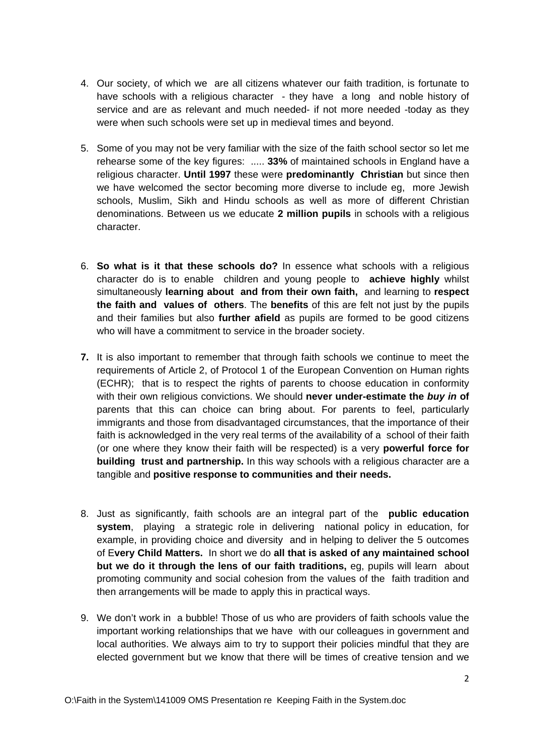- 4. Our society, of which we are all citizens whatever our faith tradition, is fortunate to have schools with a religious character - they have a long and noble history of service and are as relevant and much needed- if not more needed -today as they were when such schools were set up in medieval times and beyond.
- 5. Some of you may not be very familiar with the size of the faith school sector so let me rehearse some of the key figures: ..... **33%** of maintained schools in England have a religious character. **Until 1997** these were **predominantly Christian** but since then we have welcomed the sector becoming more diverse to include eg, more Jewish schools, Muslim, Sikh and Hindu schools as well as more of different Christian denominations. Between us we educate **2 million pupils** in schools with a religious character.
- 6. **So what is it that these schools do?** In essence what schools with a religious character do is to enable children and young people to **achieve highly** whilst simultaneously **learning about and from their own faith,** and learning to **respect the faith and values of others**. The **benefits** of this are felt not just by the pupils and their families but also **further afield** as pupils are formed to be good citizens who will have a commitment to service in the broader society.
- **7.** It is also important to remember that through faith schools we continue to meet the requirements of Article 2, of Protocol 1 of the European Convention on Human rights (ECHR); that is to respect the rights of parents to choose education in conformity with their own religious convictions. We should **never under-estimate the** *buy in* **of** parents that this can choice can bring about. For parents to feel, particularly immigrants and those from disadvantaged circumstances, that the importance of their faith is acknowledged in the very real terms of the availability of a school of their faith (or one where they know their faith will be respected) is a very **powerful force for building trust and partnership.** In this way schools with a religious character are a tangible and **positive response to communities and their needs.**
- 8. Just as significantly, faith schools are an integral part of the **public education system**, playing a strategic role in delivering national policy in education, for example, in providing choice and diversity and in helping to deliver the 5 outcomes of E**very Child Matters.** In short we do **all that is asked of any maintained school but we do it through the lens of our faith traditions,** eg, pupils will learn about promoting community and social cohesion from the values of the faith tradition and then arrangements will be made to apply this in practical ways.
- 9. We don't work in a bubble! Those of us who are providers of faith schools value the important working relationships that we have with our colleagues in government and local authorities. We always aim to try to support their policies mindful that they are elected government but we know that there will be times of creative tension and we